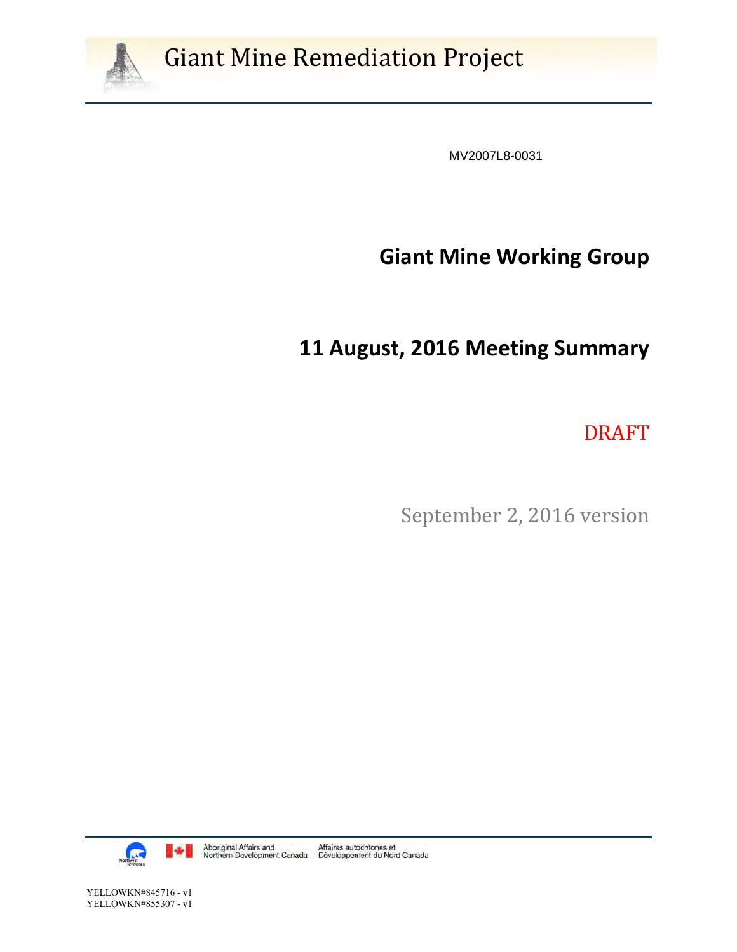

# **Giant Mine Remediation Project**

MV2007L8-0031

# **Giant Mine Working Group**

# **11 August, 2016 Meeting Summary**

DRAFT 

September 2, 2016 version

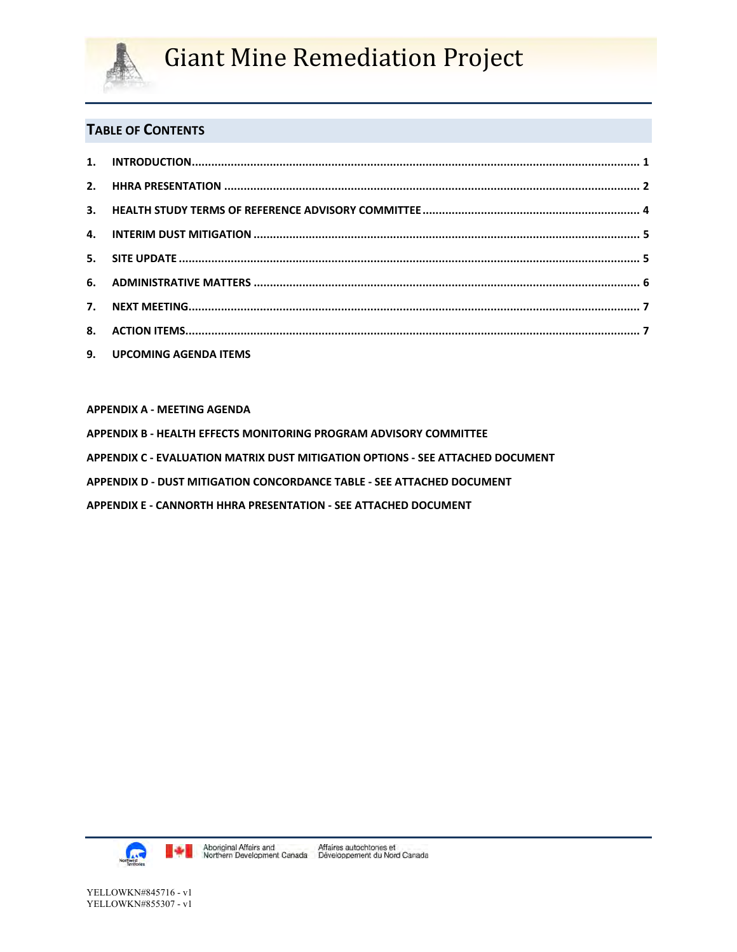

# **Giant Mine Remediation Project**

### **TABLE OF CONTENTS**

| 9. UPCOMING AGENDA ITEMS |  |
|--------------------------|--|

**APPENDIX A ‐ MEETING AGENDA** 

- **APPENDIX B ‐ HEALTH EFFECTS MONITORING PROGRAM ADVISORY COMMITTEE**
- **APPENDIX C ‐ EVALUATION MATRIX DUST MITIGATION OPTIONS ‐ SEE ATTACHED DOCUMENT**
- **APPENDIX D ‐ DUST MITIGATION CONCORDANCE TABLE ‐ SEE ATTACHED DOCUMENT**
- **APPENDIX E ‐ CANNORTH HHRA PRESENTATION ‐ SEE ATTACHED DOCUMENT**

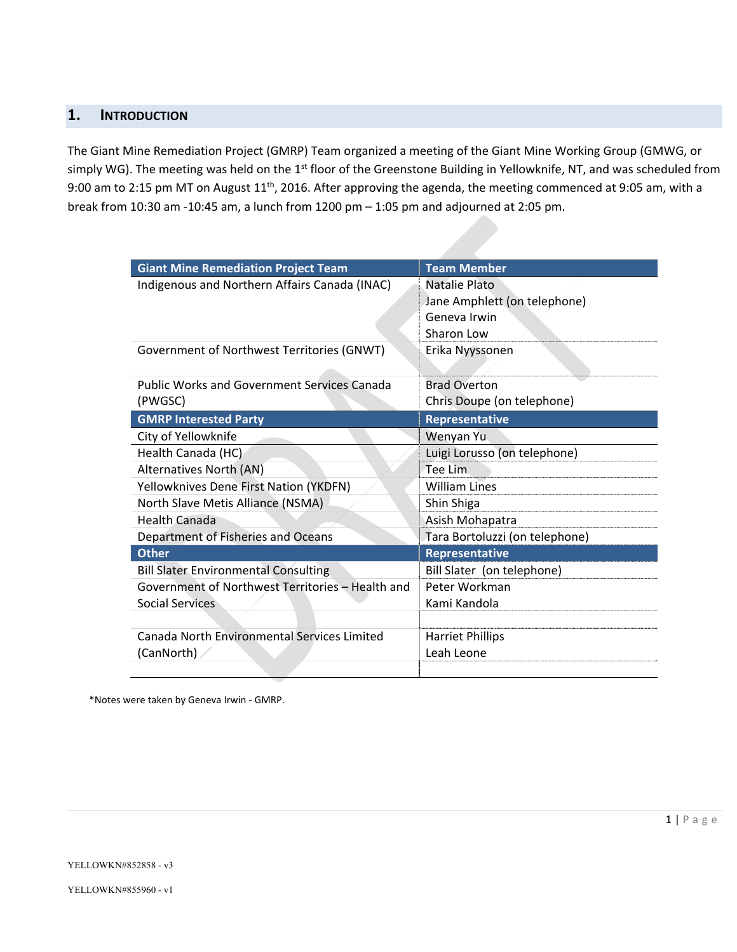### **1. INTRODUCTION**

The Giant Mine Remediation Project (GMRP) Team organized a meeting of the Giant Mine Working Group (GMWG, or simply WG). The meeting was held on the 1<sup>st</sup> floor of the Greenstone Building in Yellowknife, NT, and was scheduled from 9:00 am to 2:15 pm MT on August 11<sup>th</sup>, 2016. After approving the agenda, the meeting commenced at 9:05 am, with a break from 10:30 am ‐10:45 am, a lunch from 1200 pm – 1:05 pm and adjourned at 2:05 pm.

| <b>Giant Mine Remediation Project Team</b>         | <b>Team Member</b>             |
|----------------------------------------------------|--------------------------------|
| Indigenous and Northern Affairs Canada (INAC)      | Natalie Plato                  |
|                                                    | Jane Amphlett (on telephone)   |
|                                                    | Geneva Irwin                   |
|                                                    | Sharon Low                     |
| Government of Northwest Territories (GNWT)         | Erika Nyyssonen                |
|                                                    |                                |
| <b>Public Works and Government Services Canada</b> | <b>Brad Overton</b>            |
| (PWGSC)                                            | Chris Doupe (on telephone)     |
| <b>GMRP Interested Party</b>                       | Representative                 |
| City of Yellowknife                                | Wenyan Yu                      |
| Health Canada (HC)                                 | Luigi Lorusso (on telephone)   |
| Alternatives North (AN)                            | Tee Lim                        |
| Yellowknives Dene First Nation (YKDFN)             | <b>William Lines</b>           |
| North Slave Metis Alliance (NSMA)                  | Shin Shiga                     |
| Health Canada                                      | Asish Mohapatra                |
| Department of Fisheries and Oceans                 | Tara Bortoluzzi (on telephone) |
| <b>Other</b>                                       | Representative                 |
| <b>Bill Slater Environmental Consulting</b>        | Bill Slater (on telephone)     |
| Government of Northwest Territories - Health and   | Peter Workman                  |
| <b>Social Services</b>                             | Kami Kandola                   |
|                                                    |                                |
| <b>Canada North Environmental Services Limited</b> | <b>Harriet Phillips</b>        |
| (CanNorth)                                         | Leah Leone                     |
|                                                    |                                |

\*Notes were taken by Geneva Irwin ‐ GMRP.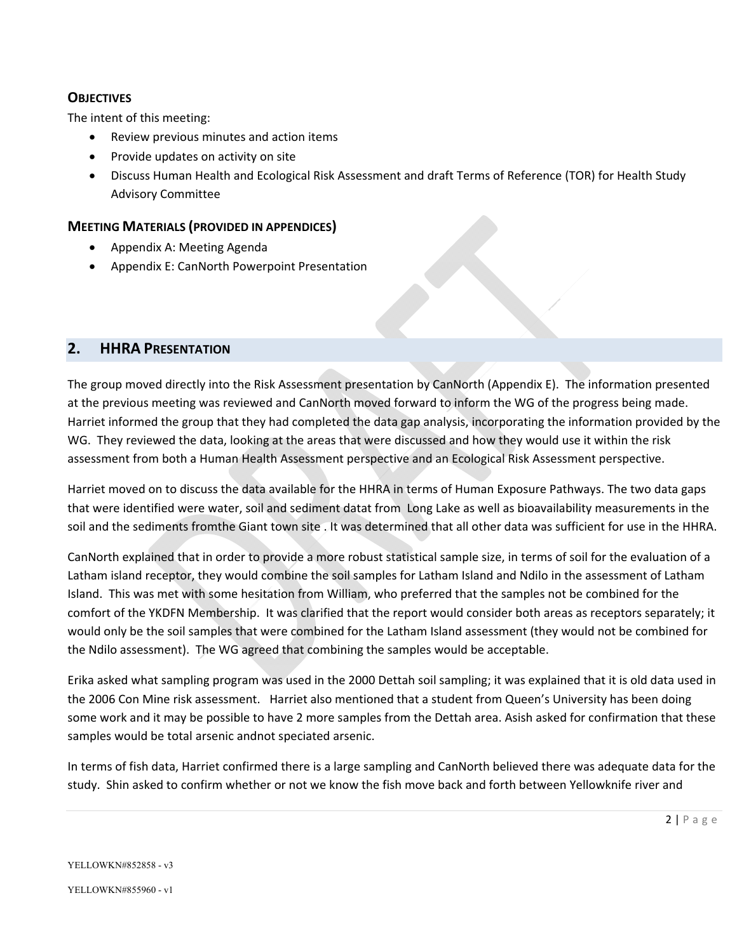#### **OBJECTIVES**

The intent of this meeting:

- Review previous minutes and action items
- Provide updates on activity on site
- Discuss Human Health and Ecological Risk Assessment and draft Terms of Reference (TOR) for Health Study Advisory Committee

#### **MEETING MATERIALS (PROVIDED IN APPENDICES)**

- Appendix A: Meeting Agenda
- Appendix E: CanNorth Powerpoint Presentation

#### **2. HHRA PRESENTATION**

The group moved directly into the Risk Assessment presentation by CanNorth (Appendix E). The information presented at the previous meeting was reviewed and CanNorth moved forward to inform the WG of the progress being made. Harriet informed the group that they had completed the data gap analysis, incorporating the information provided by the WG. They reviewed the data, looking at the areas that were discussed and how they would use it within the risk assessment from both a Human Health Assessment perspective and an Ecological Risk Assessment perspective.

Harriet moved on to discuss the data available for the HHRA in terms of Human Exposure Pathways. The two data gaps that were identified were water, soil and sediment datat from Long Lake as well as bioavailability measurements in the soil and the sediments fromthe Giant town site . It was determined that all other data was sufficient for use in the HHRA.

CanNorth explained that in order to provide a more robust statistical sample size, in terms of soil for the evaluation of a Latham island receptor, they would combine the soil samples for Latham Island and Ndilo in the assessment of Latham Island. This was met with some hesitation from William, who preferred that the samples not be combined for the comfort of the YKDFN Membership. It was clarified that the report would consider both areas as receptors separately; it would only be the soil samples that were combined for the Latham Island assessment (they would not be combined for the Ndilo assessment). The WG agreed that combining the samples would be acceptable.

Erika asked what sampling program was used in the 2000 Dettah soil sampling; it was explained that it is old data used in the 2006 Con Mine risk assessment. Harriet also mentioned that a student from Queen's University has been doing some work and it may be possible to have 2 more samples from the Dettah area. Asish asked for confirmation that these samples would be total arsenic andnot speciated arsenic.

In terms of fish data, Harriet confirmed there is a large sampling and CanNorth believed there was adequate data for the study. Shin asked to confirm whether or not we know the fish move back and forth between Yellowknife river and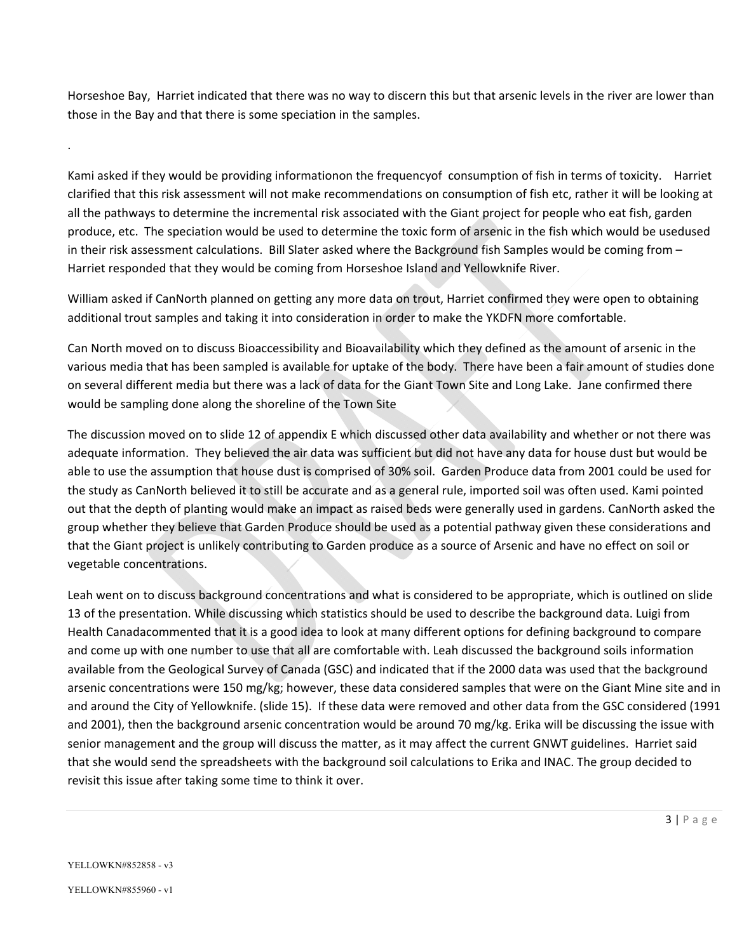Horseshoe Bay, Harriet indicated that there was no way to discern this but that arsenic levels in the river are lower than those in the Bay and that there is some speciation in the samples.

Kami asked if they would be providing informationon the frequencyof consumption of fish in terms of toxicity. Harriet clarified that this risk assessment will not make recommendations on consumption of fish etc, rather it will be looking at all the pathways to determine the incremental risk associated with the Giant project for people who eat fish, garden produce, etc. The speciation would be used to determine the toxic form of arsenic in the fish which would be usedused in their risk assessment calculations. Bill Slater asked where the Background fish Samples would be coming from – Harriet responded that they would be coming from Horseshoe Island and Yellowknife River.

William asked if CanNorth planned on getting any more data on trout, Harriet confirmed they were open to obtaining additional trout samples and taking it into consideration in order to make the YKDFN more comfortable.

Can North moved on to discuss Bioaccessibility and Bioavailability which they defined as the amount of arsenic in the various media that has been sampled is available for uptake of the body. There have been a fair amount of studies done on several different media but there was a lack of data for the Giant Town Site and Long Lake. Jane confirmed there would be sampling done along the shoreline of the Town Site

The discussion moved on to slide 12 of appendix E which discussed other data availability and whether or not there was adequate information. They believed the air data was sufficient but did not have any data for house dust but would be able to use the assumption that house dust is comprised of 30% soil. Garden Produce data from 2001 could be used for the study as CanNorth believed it to still be accurate and as a general rule, imported soil was often used. Kami pointed out that the depth of planting would make an impact as raised beds were generally used in gardens. CanNorth asked the group whether they believe that Garden Produce should be used as a potential pathway given these considerations and that the Giant project is unlikely contributing to Garden produce as a source of Arsenic and have no effect on soil or vegetable concentrations.

Leah went on to discuss background concentrations and what is considered to be appropriate, which is outlined on slide 13 of the presentation. While discussing which statistics should be used to describe the background data. Luigi from Health Canadacommented that it is a good idea to look at many different options for defining background to compare and come up with one number to use that all are comfortable with. Leah discussed the background soils information available from the Geological Survey of Canada (GSC) and indicated that if the 2000 data was used that the background arsenic concentrations were 150 mg/kg; however, these data considered samples that were on the Giant Mine site and in and around the City of Yellowknife. (slide 15). If these data were removed and other data from the GSC considered (1991 and 2001), then the background arsenic concentration would be around 70 mg/kg. Erika will be discussing the issue with senior management and the group will discuss the matter, as it may affect the current GNWT guidelines. Harriet said that she would send the spreadsheets with the background soil calculations to Erika and INAC. The group decided to revisit this issue after taking some time to think it over.

.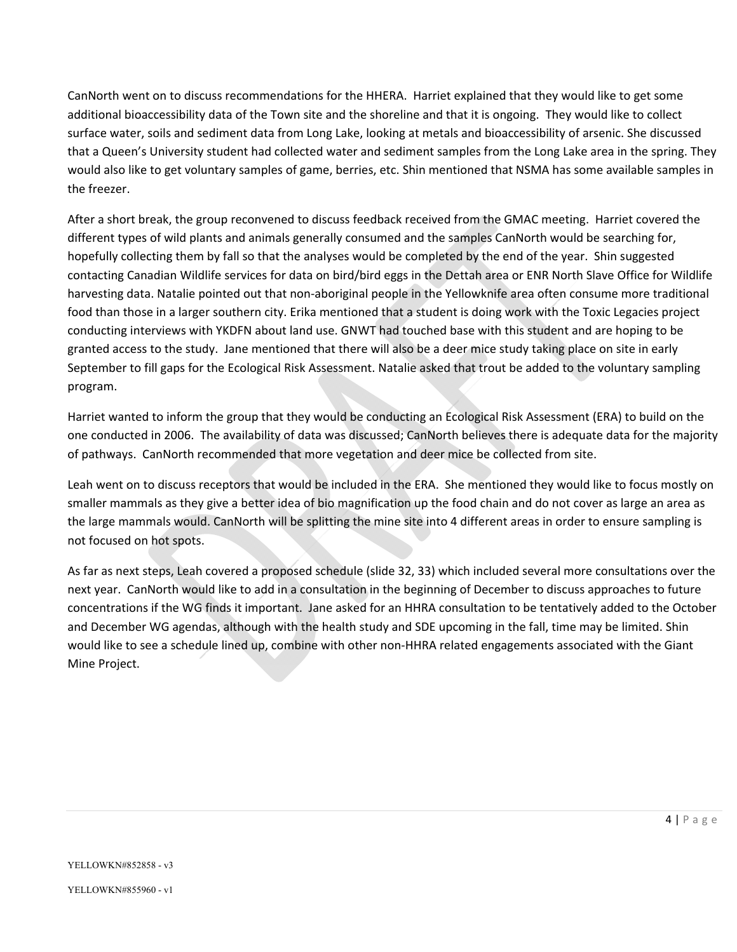CanNorth went on to discuss recommendations for the HHERA. Harriet explained that they would like to get some additional bioaccessibility data of the Town site and the shoreline and that it is ongoing. They would like to collect surface water, soils and sediment data from Long Lake, looking at metals and bioaccessibility of arsenic. She discussed that a Queen's University student had collected water and sediment samples from the Long Lake area in the spring. They would also like to get voluntary samples of game, berries, etc. Shin mentioned that NSMA has some available samples in the freezer.

After a short break, the group reconvened to discuss feedback received from the GMAC meeting. Harriet covered the different types of wild plants and animals generally consumed and the samples CanNorth would be searching for, hopefully collecting them by fall so that the analyses would be completed by the end of the year. Shin suggested contacting Canadian Wildlife services for data on bird/bird eggs in the Dettah area or ENR North Slave Office for Wildlife harvesting data. Natalie pointed out that non‐aboriginal people in the Yellowknife area often consume more traditional food than those in a larger southern city. Erika mentioned that a student is doing work with the Toxic Legacies project conducting interviews with YKDFN about land use. GNWT had touched base with this student and are hoping to be granted access to the study. Jane mentioned that there will also be a deer mice study taking place on site in early September to fill gaps for the Ecological Risk Assessment. Natalie asked that trout be added to the voluntary sampling program.

Harriet wanted to inform the group that they would be conducting an Ecological Risk Assessment (ERA) to build on the one conducted in 2006. The availability of data was discussed; CanNorth believes there is adequate data for the majority of pathways. CanNorth recommended that more vegetation and deer mice be collected from site.

Leah went on to discuss receptors that would be included in the ERA. She mentioned they would like to focus mostly on smaller mammals as they give a better idea of bio magnification up the food chain and do not cover as large an area as the large mammals would. CanNorth will be splitting the mine site into 4 different areas in order to ensure sampling is not focused on hot spots.

As far as next steps, Leah covered a proposed schedule (slide 32, 33) which included several more consultations over the next year. CanNorth would like to add in a consultation in the beginning of December to discuss approaches to future concentrations if the WG finds it important. Jane asked for an HHRA consultation to be tentatively added to the October and December WG agendas, although with the health study and SDE upcoming in the fall, time may be limited. Shin would like to see a schedule lined up, combine with other non‐HHRA related engagements associated with the Giant Mine Project.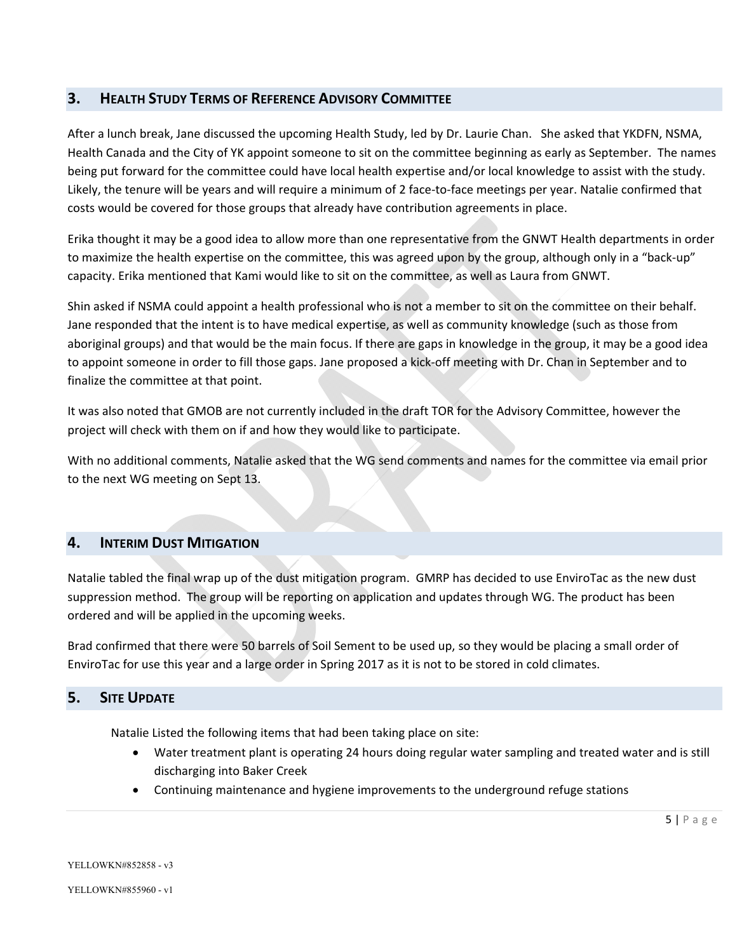#### **3. HEALTH STUDY TERMS OF REFERENCE ADVISORY COMMITTEE**

After a lunch break, Jane discussed the upcoming Health Study, led by Dr. Laurie Chan. She asked that YKDFN, NSMA, Health Canada and the City of YK appoint someone to sit on the committee beginning as early as September. The names being put forward for the committee could have local health expertise and/or local knowledge to assist with the study. Likely, the tenure will be years and will require a minimum of 2 face-to-face meetings per year. Natalie confirmed that costs would be covered for those groups that already have contribution agreements in place.

Erika thought it may be a good idea to allow more than one representative from the GNWT Health departments in order to maximize the health expertise on the committee, this was agreed upon by the group, although only in a "back-up" capacity. Erika mentioned that Kami would like to sit on the committee, as well as Laura from GNWT.

Shin asked if NSMA could appoint a health professional who is not a member to sit on the committee on their behalf. Jane responded that the intent is to have medical expertise, as well as community knowledge (such as those from aboriginal groups) and that would be the main focus. If there are gaps in knowledge in the group, it may be a good idea to appoint someone in order to fill those gaps. Jane proposed a kick‐off meeting with Dr. Chan in September and to finalize the committee at that point.

It was also noted that GMOB are not currently included in the draft TOR for the Advisory Committee, however the project will check with them on if and how they would like to participate.

With no additional comments, Natalie asked that the WG send comments and names for the committee via email prior to the next WG meeting on Sept 13.

#### **4. INTERIM DUST MITIGATION**

Natalie tabled the final wrap up of the dust mitigation program. GMRP has decided to use EnviroTac as the new dust suppression method. The group will be reporting on application and updates through WG. The product has been ordered and will be applied in the upcoming weeks.

Brad confirmed that there were 50 barrels of Soil Sement to be used up, so they would be placing a small order of EnviroTac for use this year and a large order in Spring 2017 as it is not to be stored in cold climates.

#### **5. SITE UPDATE**

Natalie Listed the following items that had been taking place on site:

- Water treatment plant is operating 24 hours doing regular water sampling and treated water and is still discharging into Baker Creek
- Continuing maintenance and hygiene improvements to the underground refuge stations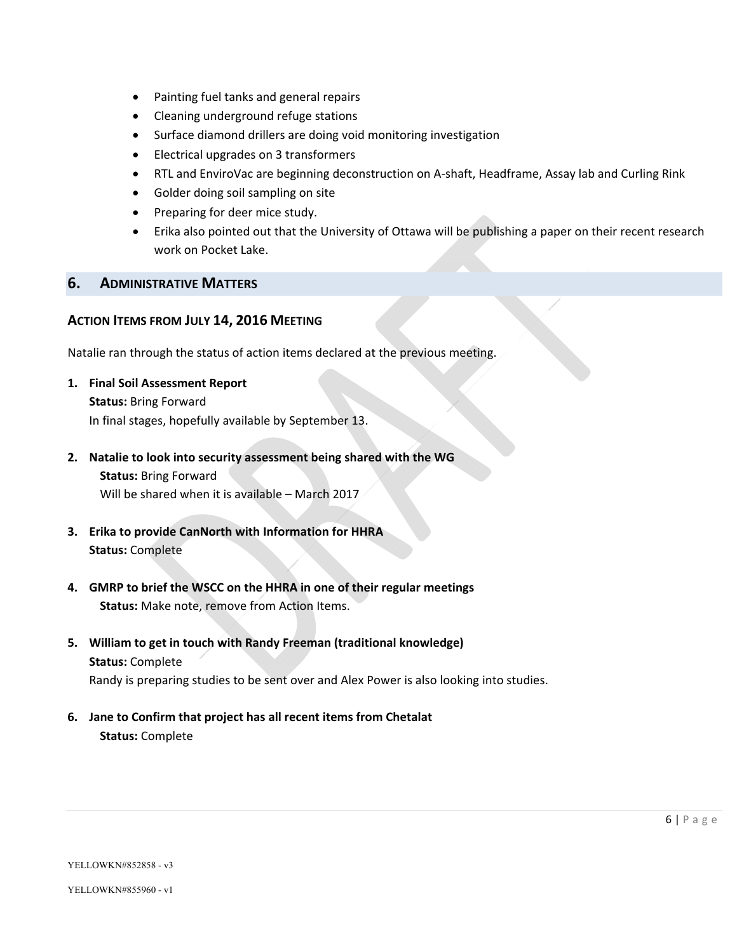- Painting fuel tanks and general repairs
- Cleaning underground refuge stations
- Surface diamond drillers are doing void monitoring investigation
- Electrical upgrades on 3 transformers
- RTL and EnviroVac are beginning deconstruction on A-shaft, Headframe, Assay lab and Curling Rink
- Golder doing soil sampling on site
- Preparing for deer mice study.
- Erika also pointed out that the University of Ottawa will be publishing a paper on their recent research work on Pocket Lake.

#### **6. ADMINISTRATIVE MATTERS**

#### **ACTION ITEMS FROM JULY 14, 2016 MEETING**

Natalie ran through the status of action items declared at the previous meeting.

- **1. Final Soil Assessment Report Status:** Bring Forward In final stages, hopefully available by September 13.
- **2. Natalie to look into security assessment being shared with the WG**

**Status:** Bring Forward Will be shared when it is available – March 2017

- **3. Erika to provide CanNorth with Information for HHRA Status:** Complete
- **4. GMRP to brief the WSCC on the HHRA in one of their regular meetings Status:** Make note, remove from Action Items.
- **5. William to get in touch with Randy Freeman (traditional knowledge) Status:** Complete Randy is preparing studies to be sent over and Alex Power is also looking into studies.
	-
- **6. Jane to Confirm that project has all recent items from Chetalat Status:** Complete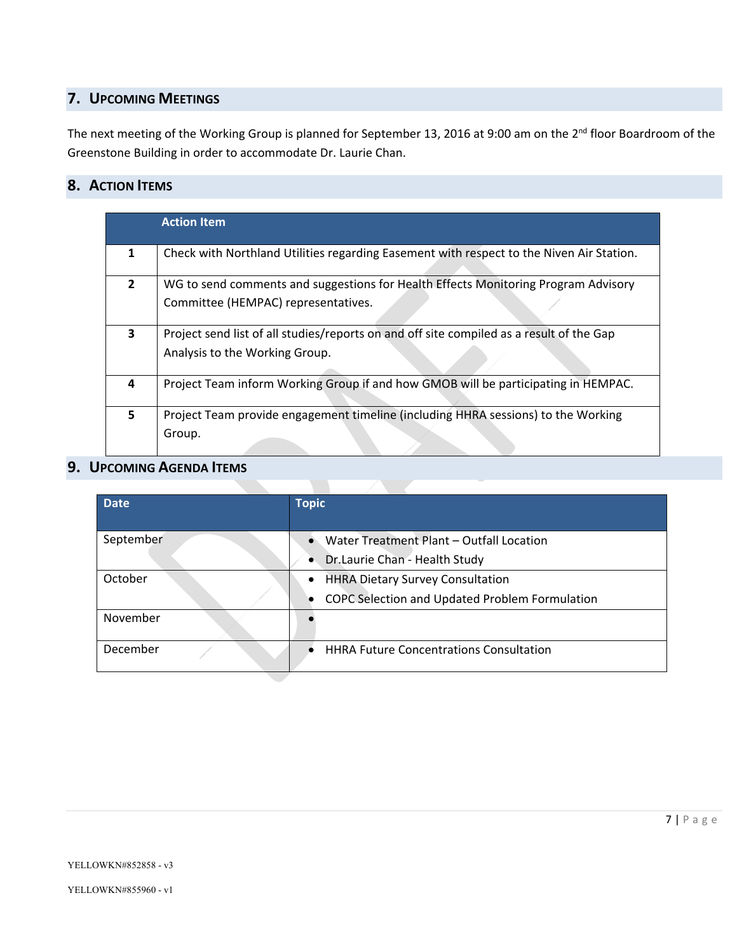## **7. UPCOMING MEETINGS**

The next meeting of the Working Group is planned for September 13, 2016 at 9:00 am on the 2<sup>nd</sup> floor Boardroom of the Greenstone Building in order to accommodate Dr. Laurie Chan.

## **8. ACTION ITEMS**

|   | <b>Action Item</b>                                                                       |  |
|---|------------------------------------------------------------------------------------------|--|
| 1 | Check with Northland Utilities regarding Easement with respect to the Niven Air Station. |  |
| 2 | WG to send comments and suggestions for Health Effects Monitoring Program Advisory       |  |
|   | Committee (HEMPAC) representatives.                                                      |  |
| 3 | Project send list of all studies/reports on and off site compiled as a result of the Gap |  |
|   | Analysis to the Working Group.                                                           |  |
|   |                                                                                          |  |
| 4 | Project Team inform Working Group if and how GMOB will be participating in HEMPAC.       |  |
| 5 | Project Team provide engagement timeline (including HHRA sessions) to the Working        |  |
|   | Group.                                                                                   |  |
|   |                                                                                          |  |

## **9. UPCOMING AGENDA ITEMS**

| <b>Date</b> | <b>Topic</b>                                   |
|-------------|------------------------------------------------|
| September   | Water Treatment Plant - Outfall Location       |
|             | Dr.Laurie Chan - Health Study<br>$\bullet$     |
| October     | <b>HHRA Dietary Survey Consultation</b>        |
|             | COPC Selection and Updated Problem Formulation |
| November    |                                                |
| December    | <b>HHRA Future Concentrations Consultation</b> |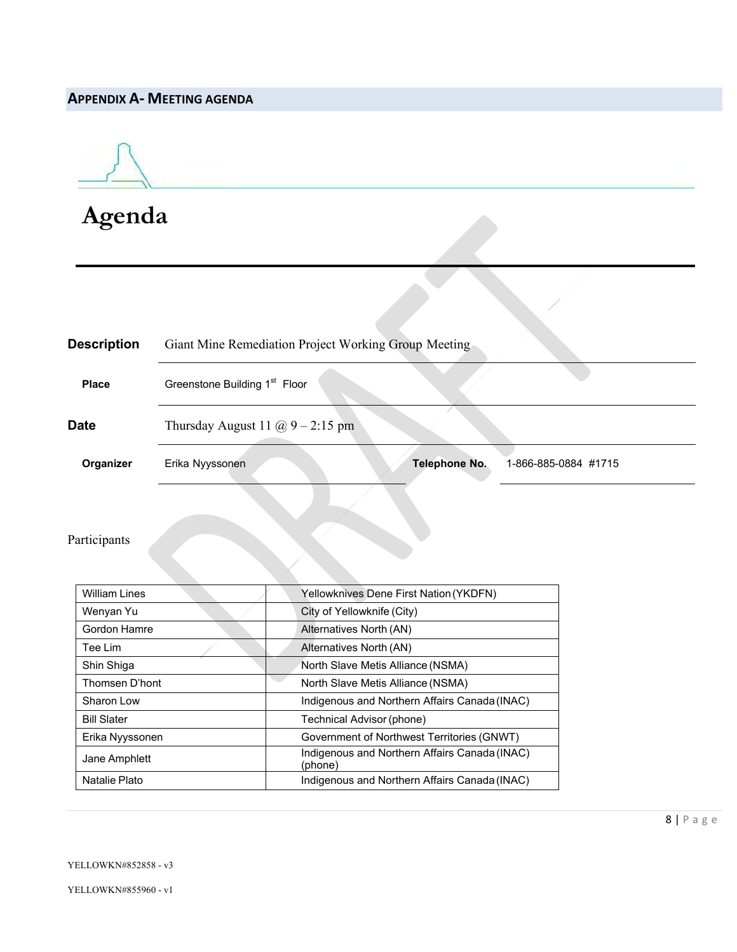## **APPENDIX A‐ MEETING AGENDA**



**Agenda**

| <b>Description</b> | Giant Mine Remediation Project Working Group Meeting            |  |  |
|--------------------|-----------------------------------------------------------------|--|--|
| <b>Place</b>       | Greenstone Building 1 <sup>st</sup> Floor                       |  |  |
| <b>Date</b>        | Thursday August 11 $\omega$ 9 – 2:15 pm                         |  |  |
| Organizer          | <b>Telephone No.</b><br>1-866-885-0884 #1715<br>Erika Nyyssonen |  |  |

## Participants

| William Lines      | Yellowknives Dene First Nation (YKDFN)                   |
|--------------------|----------------------------------------------------------|
| Wenyan Yu          | City of Yellowknife (City)                               |
| Gordon Hamre       | Alternatives North (AN)                                  |
| Tee Lim            | Alternatives North (AN)                                  |
| Shin Shiga         | North Slave Metis Alliance (NSMA)                        |
| Thomsen D'hont     | North Slave Metis Alliance (NSMA)                        |
| Sharon Low         | Indigenous and Northern Affairs Canada (INAC)            |
| <b>Bill Slater</b> | Technical Advisor (phone)                                |
| Erika Nyyssonen    | Government of Northwest Territories (GNWT)               |
| Jane Amphlett      | Indigenous and Northern Affairs Canada (INAC)<br>(phone) |
| Natalie Plato      | Indigenous and Northern Affairs Canada (INAC)            |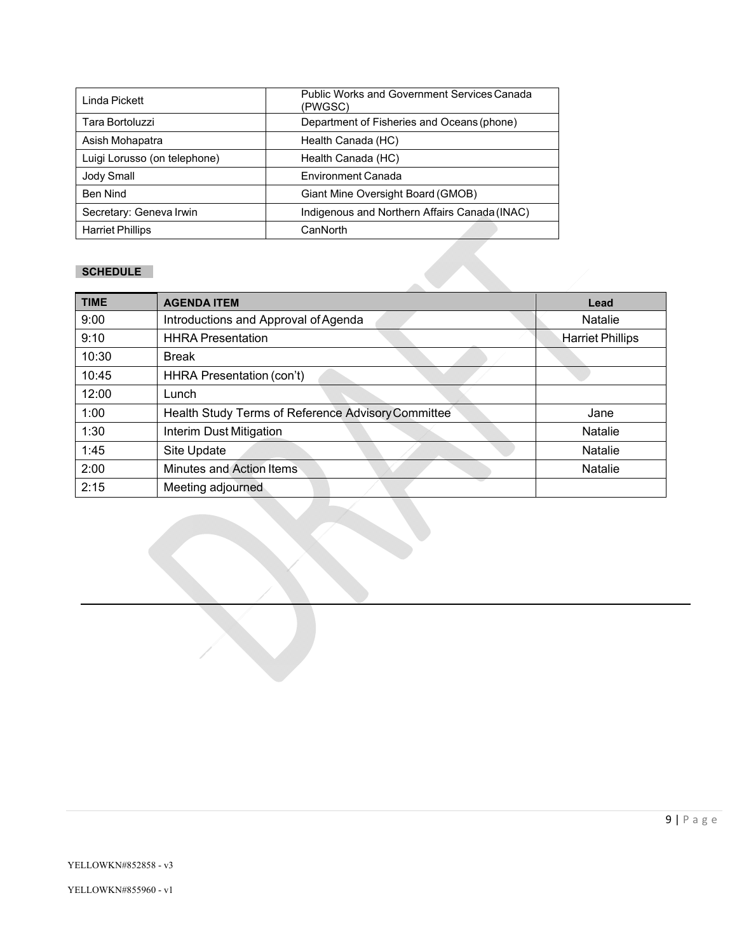| Linda Pickett                | <b>Public Works and Government Services Canada</b><br>(PWGSC) |
|------------------------------|---------------------------------------------------------------|
| Tara Bortoluzzi              | Department of Fisheries and Oceans (phone)                    |
| Asish Mohapatra              | Health Canada (HC)                                            |
| Luigi Lorusso (on telephone) | Health Canada (HC)                                            |
| Jody Small                   | Environment Canada                                            |
| <b>Ben Nind</b>              | Giant Mine Oversight Board (GMOB)                             |
| Secretary: Geneva Irwin      | Indigenous and Northern Affairs Canada (INAC)                 |
| <b>Harriet Phillips</b>      | CanNorth                                                      |

#### **SCHEDULE**

| <b>TIME</b> | <b>AGENDA ITEM</b>                                 | Lead                    |
|-------------|----------------------------------------------------|-------------------------|
| 9:00        | Introductions and Approval of Agenda               | Natalie                 |
| 9:10        | <b>HHRA Presentation</b>                           | <b>Harriet Phillips</b> |
| 10:30       | <b>Break</b>                                       |                         |
| 10:45       | HHRA Presentation (con't)                          |                         |
| 12:00       | Lunch                                              |                         |
| 1:00        | Health Study Terms of Reference Advisory Committee | Jane                    |
| 1:30        | Interim Dust Mitigation                            | <b>Natalie</b>          |
| 1:45        | Site Update                                        | <b>Natalie</b>          |
| 2:00        | <b>Minutes and Action Items</b>                    | <b>Natalie</b>          |
| 2:15        | Meeting adjourned                                  |                         |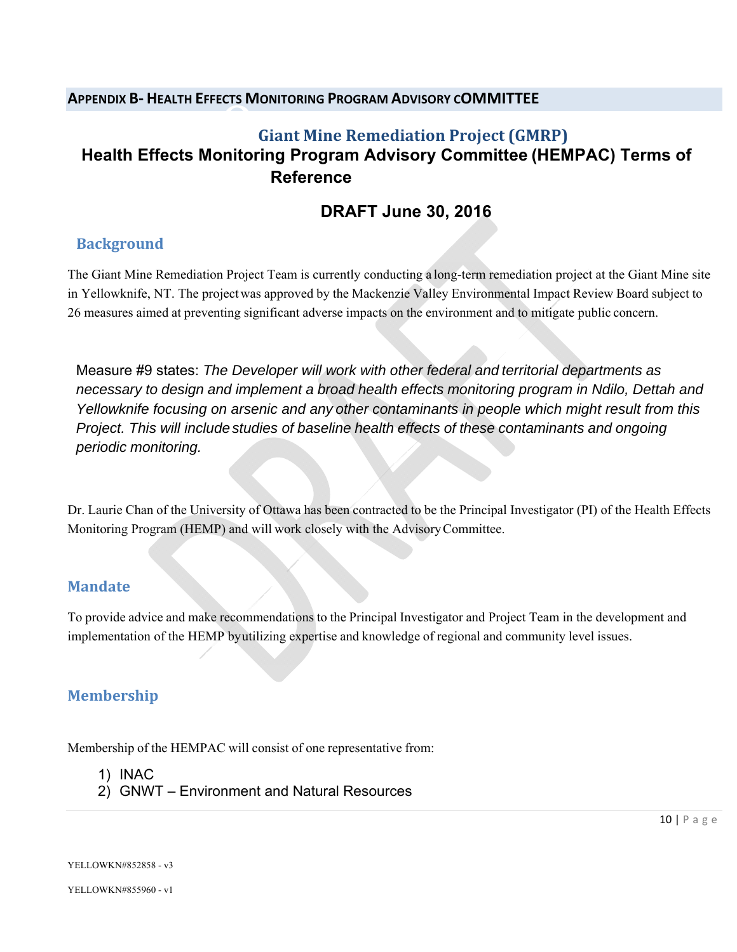#### **APPENDIX B‐ HEALTH EFFECTS MONITORING PROGRAM ADVISORY COMMITTEE**

## O**Giant Mine Remediation Project (GMRP) Health Effects Monitoring Program Advisory Committee (HEMPAC) Terms of Reference**

## **DRAFT June 30, 2016**

## **Background**

The Giant Mine Remediation Project Team is currently conducting a long-term remediation project at the Giant Mine site in Yellowknife, NT. The project was approved by the Mackenzie Valley Environmental Impact Review Board subject to 26 measures aimed at preventing significant adverse impacts on the environment and to mitigate public concern.

Measure #9 states: *The Developer will work with other federal and territorial departments as necessary to design and implement a broad health effects monitoring program in Ndilo, Dettah and Yellowknife focusing on arsenic and any other contaminants in people which might result from this Project. This will include studies of baseline health effects of these contaminants and ongoing periodic monitoring.*

Dr. Laurie Chan of the University of Ottawa has been contracted to be the Principal Investigator (PI) of the Health Effects Monitoring Program (HEMP) and will work closely with the Advisory Committee.

## **Mandate**

To provide advice and make recommendations to the Principal Investigator and Project Team in the development and implementation of the HEMP by utilizing expertise and knowledge of regional and community level issues.

## **Membership**

Membership of the HEMPAC will consist of one representative from:

- 1) INAC
- 2) GNWT Environment and Natural Resources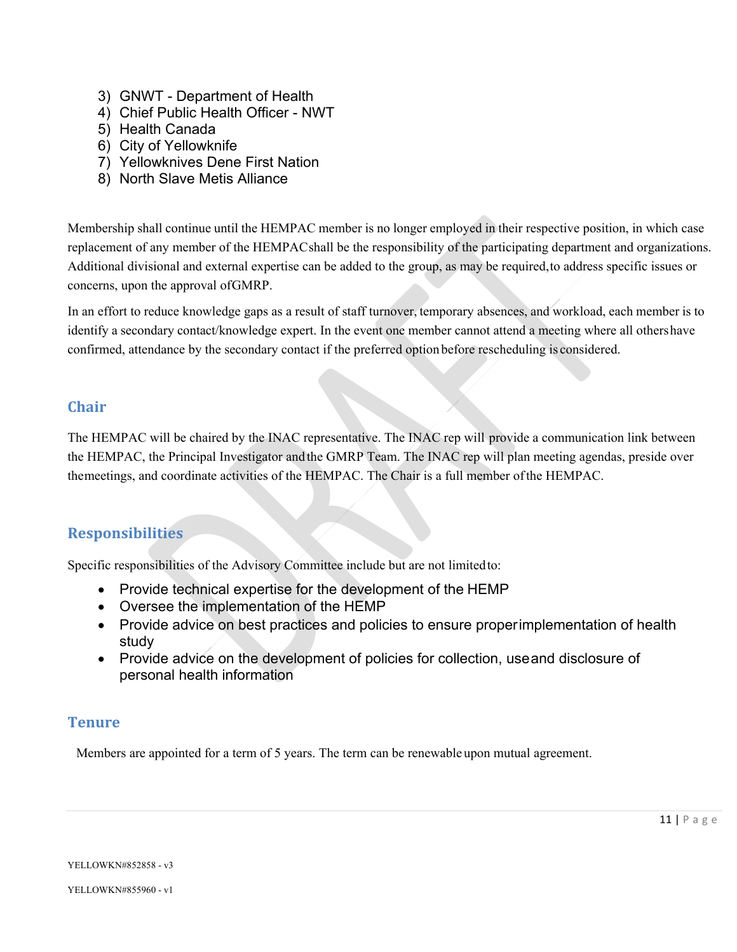- 3) GNWT Department of Health
- 4) Chief Public Health Officer NWT
- 5) Health Canada
- 6) City of Yellowknife
- 7) Yellowknives Dene First Nation
- 8) North Slave Metis Alliance

Membership shall continue until the HEMPAC member is no longer employed in their respective position, in which case replacement of any member of the HEMPAC shall be the responsibility of the participating department and organizations. Additional divisional and external expertise can be added to the group, as may be required, to address specific issues or concerns, upon the approval of GMRP.

In an effort to reduce knowledge gaps as a result of staff turnover, temporary absences, and workload, each member is to identify a secondary contact/knowledge expert. In the event one member cannot attend a meeting where all others have confirmed, attendance by the secondary contact if the preferred option before rescheduling is considered.

#### **Chair**

The HEMPAC will be chaired by the INAC representative. The INAC rep will provide a communication link between the HEMPAC, the Principal Investigator and the GMRP Team. The INAC rep will plan meeting agendas, preside over the meetings, and coordinate activities of the HEMPAC. The Chair is a full member of the HEMPAC.

## **Responsibilities**

Specific responsibilities of the Advisory Committee include but are not limited to:

- Provide technical expertise for the development of the HEMP
- Oversee the implementation of the HEMP
- Provide advice on best practices and policies to ensure proper implementation of health study
- Provide advice on the development of policies for collection, use and disclosure of personal health information

#### **Tenure**

Members are appointed for a term of 5 years. The term can be renewable upon mutual agreement.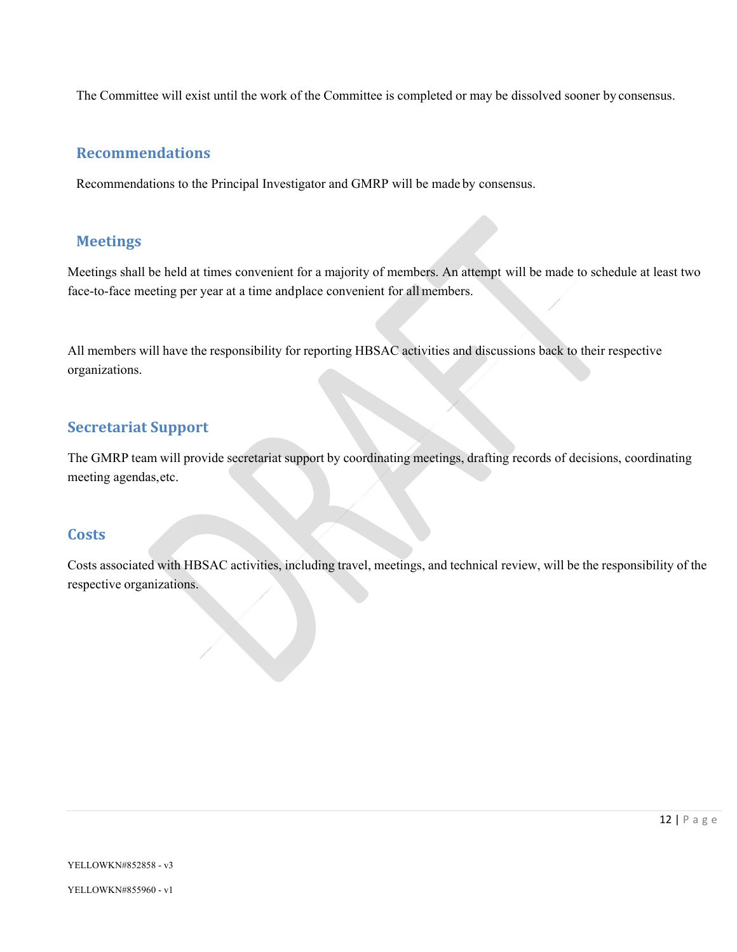The Committee will exist until the work of the Committee is completed or may be dissolved sooner by consensus.

#### **Recommendations**

Recommendations to the Principal Investigator and GMRP will be made by consensus.

### **Meetings**

Meetings shall be held at times convenient for a majority of members. An attempt will be made to schedule at least two face-to-face meeting per year at a time and place convenient for all members.

All members will have the responsibility for reporting HBSAC activities and discussions back to their respective organizations.

## **Secretariat Support**

The GMRP team will provide secretariat support by coordinating meetings, drafting records of decisions, coordinating meeting agendas, etc.

#### **Costs**

Costs associated with HBSAC activities, including travel, meetings, and technical review, will be the responsibility of the respective organizations.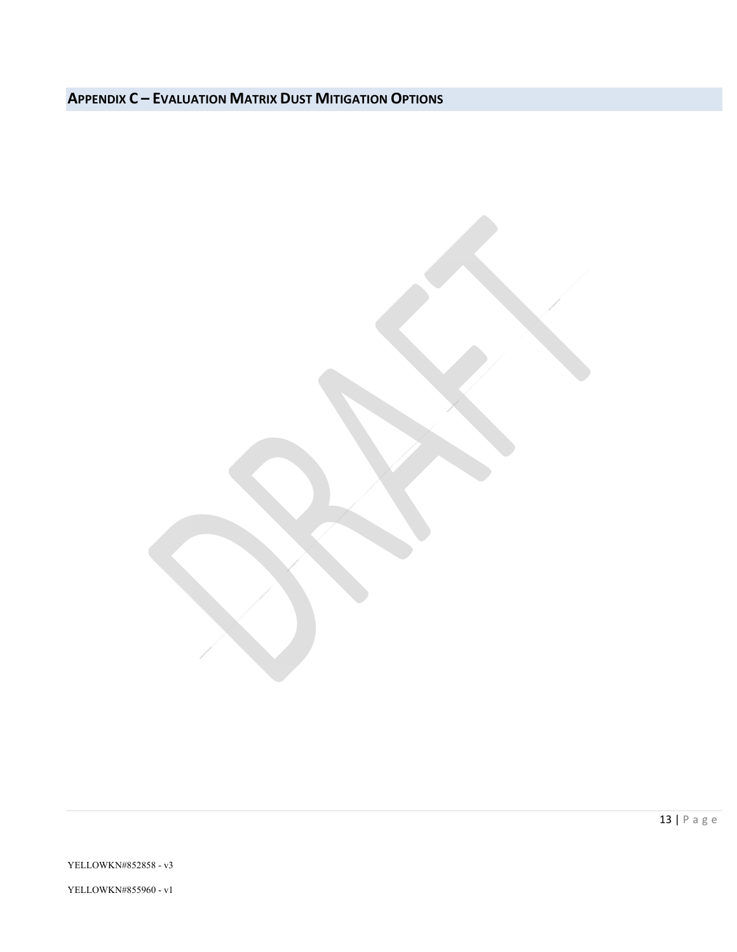## **APPENDIX C – EVALUATION MATRIX DUST MITIGATION OPTIONS**

13 | Page

YELLOWKN#852858 - v3

YELLOWKN#855960 - v1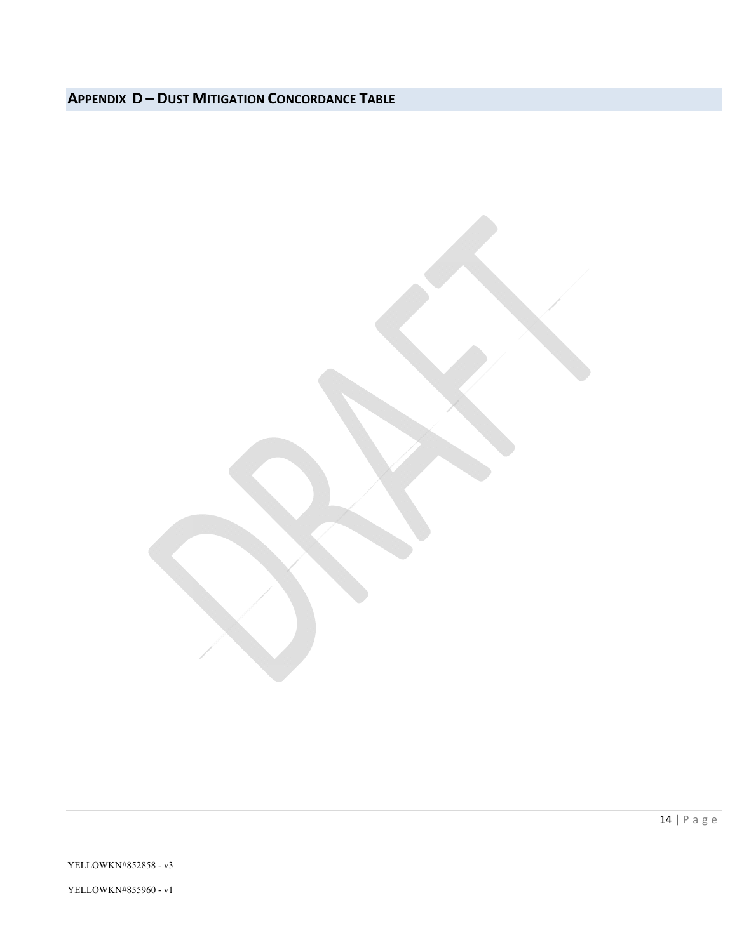## **APPENDIX D – DUST MITIGATION CONCORDANCE TABLE**

YELLOWKN#852858 - v3

YELLOWKN#855960 - v1